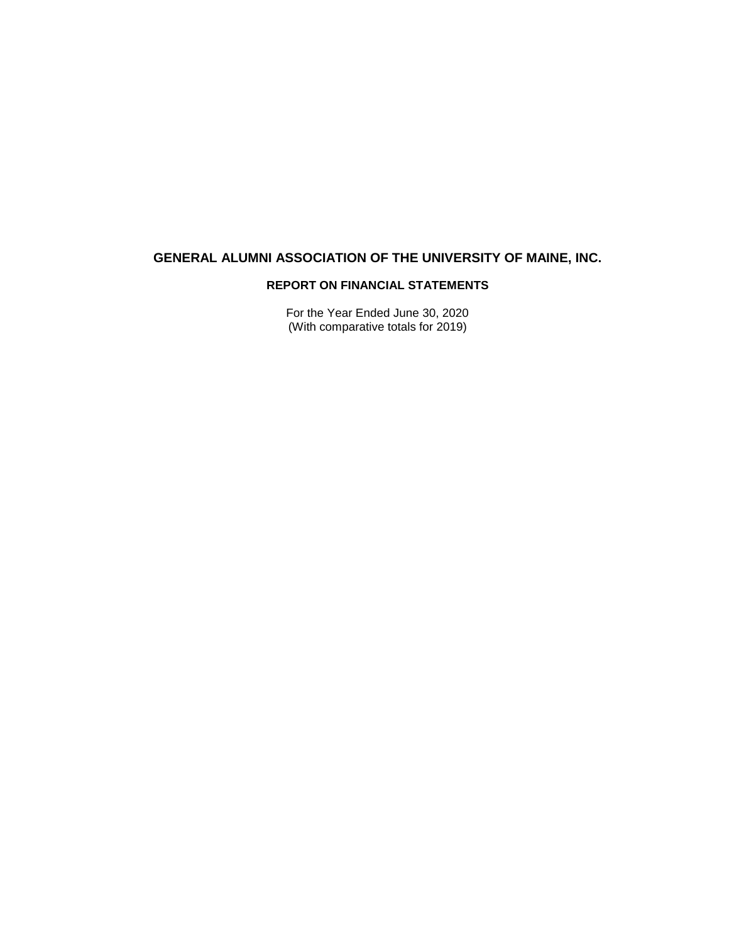# **GENERAL ALUMNI ASSOCIATION OF THE UNIVERSITY OF MAINE, INC.**

# **REPORT ON FINANCIAL STATEMENTS**

For the Year Ended June 30, 2020 (With comparative totals for 2019)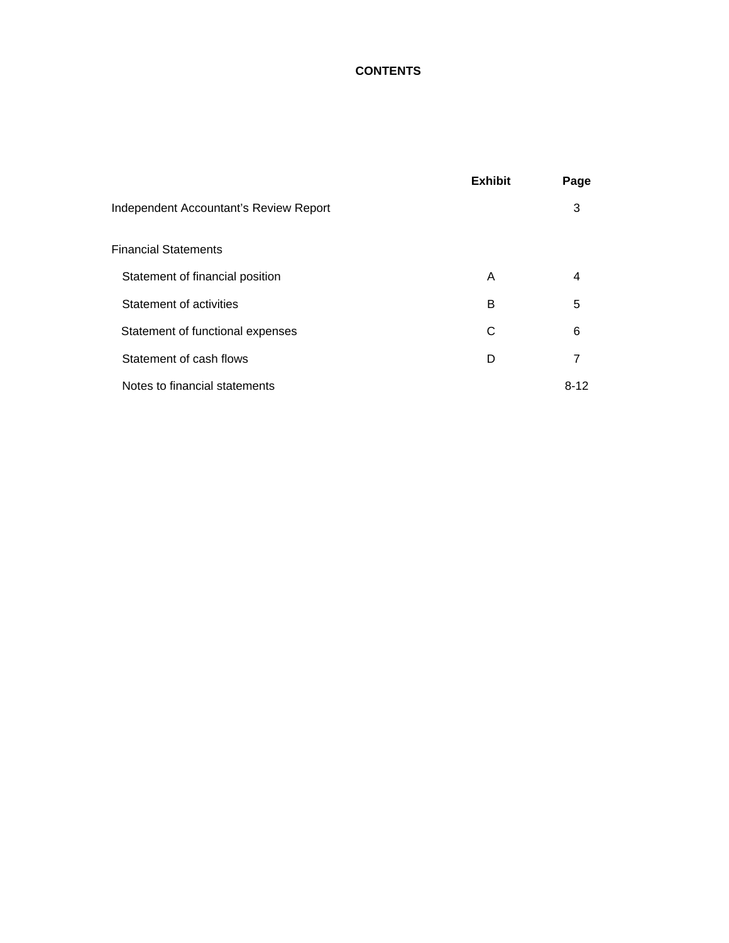# **CONTENTS**

|                                        | <b>Exhibit</b> | Page     |
|----------------------------------------|----------------|----------|
| Independent Accountant's Review Report |                | 3        |
| <b>Financial Statements</b>            |                |          |
| Statement of financial position        | A              | 4        |
| Statement of activities                | в              | 5        |
| Statement of functional expenses       | С              | 6        |
| Statement of cash flows                | D              | 7        |
| Notes to financial statements          |                | $8 - 12$ |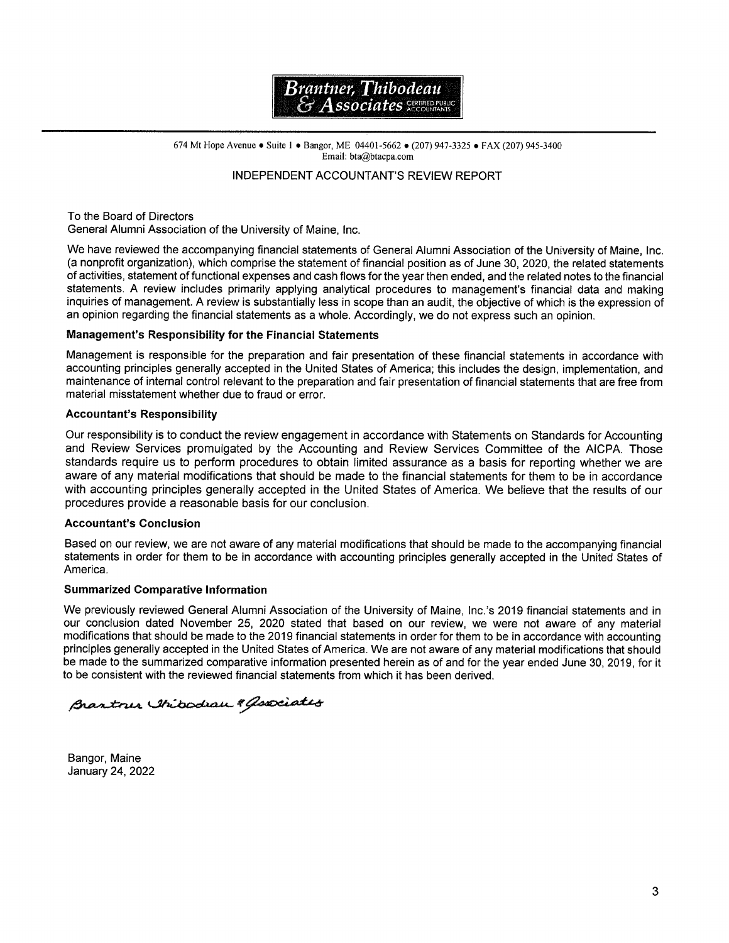

674 Mt Hope Avenue • Suite 1 • Bangor, ME 04401-5662 • (207) 947-3325 • FAX (207) 945-3400 Email: bta@btacpa.com

# **INDEPENDENT ACCOUNTANT'S REVIEW REPORT**

To the Board of Directors General Alumni Association of the University of Maine, Inc.

We have reviewed the accompanying financial statements of General Alumni Association of the University of Maine, Inc. (a nonprofit organization), which comprise the statement of financial position as of June 30, 2020, the related statements of activities, statement of functional expenses and cash flows for the year then ended, and the related notes to the financial statements. A review includes primarily applying analytical procedures to management's financial data and making inquiries of management. A review is substantially less in scope than an audit, the objective of which is the expression of an opinion regarding the financial statements as a whole. Accordingly, we do not express such an opinion.

#### Management's Responsibility for the Financial Statements

Management is responsible for the preparation and fair presentation of these financial statements in accordance with accounting principles generally accepted in the United States of America; this includes the design, implementation, and maintenance of internal control relevant to the preparation and fair presentation of financial statements that are free from material misstatement whether due to fraud or error.

# **Accountant's Responsibility**

Our responsibility is to conduct the review engagement in accordance with Statements on Standards for Accounting and Review Services promulgated by the Accounting and Review Services Committee of the AICPA. Those standards require us to perform procedures to obtain limited assurance as a basis for reporting whether we are aware of any material modifications that should be made to the financial statements for them to be in accordance with accounting principles generally accepted in the United States of America. We believe that the results of our procedures provide a reasonable basis for our conclusion.

# **Accountant's Conclusion**

Based on our review, we are not aware of any material modifications that should be made to the accompanying financial statements in order for them to be in accordance with accounting principles generally accepted in the United States of America.

#### **Summarized Comparative Information**

We previously reviewed General Alumni Association of the University of Maine, Inc.'s 2019 financial statements and in our conclusion dated November 25, 2020 stated that based on our review, we were not aware of any material modifications that should be made to the 2019 financial statements in order for them to be in accordance with accounting principles generally accepted in the United States of America. We are not aware of any material modifications that should be made to the summarized comparative information presented herein as of and for the year ended June 30, 2019, for it to be consistent with the reviewed financial statements from which it has been derived.

Brantner Chibodrau & Gosociates

Bangor, Maine January 24, 2022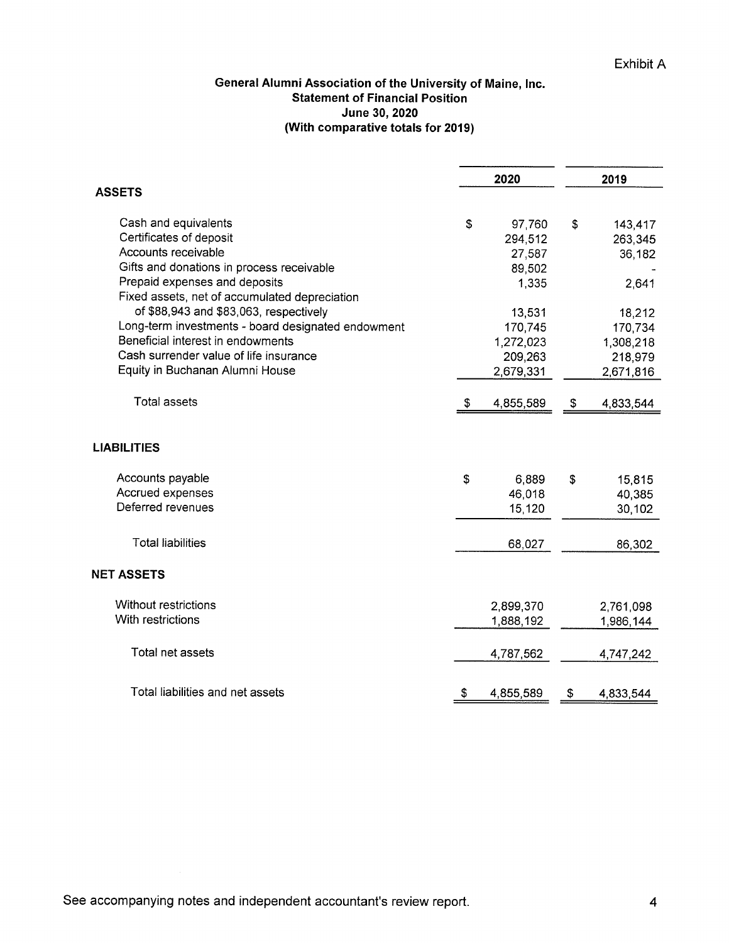# General Alumni Association of the University of Maine, Inc. **Statement of Financial Position** June 30, 2020 (With comparative totals for 2019)

|                                                    | 2020            | 2019            |
|----------------------------------------------------|-----------------|-----------------|
| <b>ASSETS</b>                                      |                 |                 |
| Cash and equivalents                               | \$<br>97,760    | \$<br>143,417   |
| Certificates of deposit                            | 294,512         | 263,345         |
| Accounts receivable                                | 27,587          | 36,182          |
| Gifts and donations in process receivable          | 89,502          |                 |
| Prepaid expenses and deposits                      | 1,335           | 2,641           |
| Fixed assets, net of accumulated depreciation      |                 |                 |
| of \$88,943 and \$83,063, respectively             | 13,531          | 18,212          |
| Long-term investments - board designated endowment | 170,745         | 170,734         |
| Beneficial interest in endowments                  | 1,272,023       | 1,308,218       |
| Cash surrender value of life insurance             | 209,263         | 218,979         |
| Equity in Buchanan Alumni House                    | 2,679,331       | 2,671,816       |
|                                                    |                 |                 |
| <b>Total assets</b>                                | 4,855,589       | \$<br>4,833,544 |
|                                                    |                 |                 |
| <b>LIABILITIES</b>                                 |                 |                 |
| Accounts payable                                   | \$<br>6,889     | \$<br>15,815    |
| Accrued expenses                                   | 46,018          | 40,385          |
| Deferred revenues                                  | 15,120          | 30,102          |
| <b>Total liabilities</b>                           | 68,027          | 86,302          |
| <b>NET ASSETS</b>                                  |                 |                 |
| <b>Without restrictions</b>                        | 2,899,370       | 2,761,098       |
| With restrictions                                  | 1,888,192       | 1,986,144       |
|                                                    |                 |                 |
| Total net assets                                   | 4,787,562       | 4,747,242       |
| Total liabilities and net assets                   | \$<br>4,855,589 | \$<br>4,833,544 |
|                                                    |                 |                 |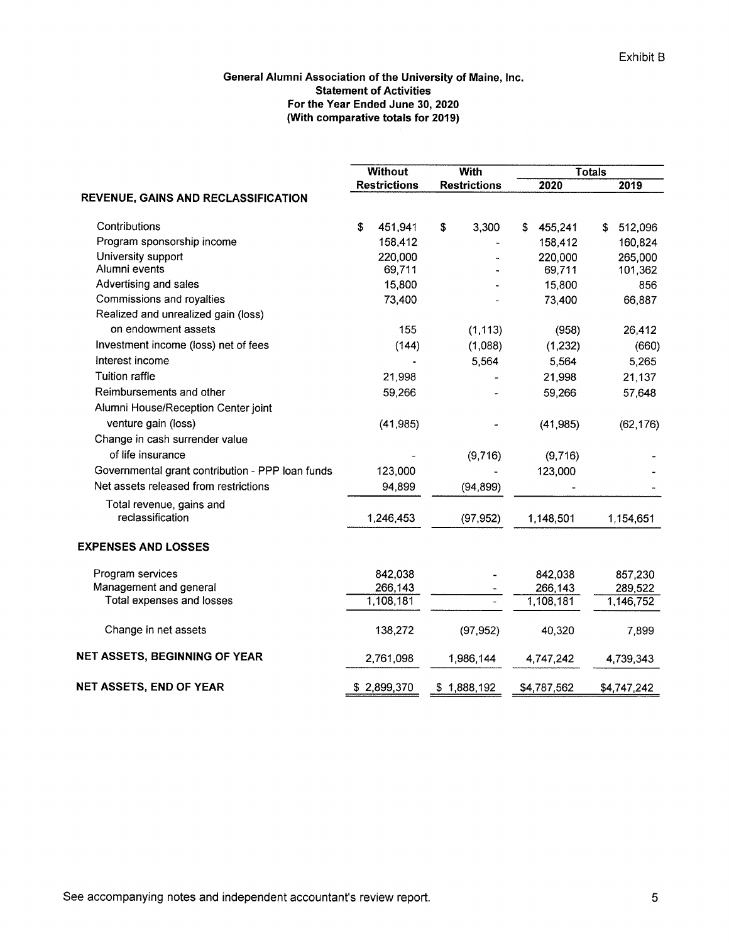# General Alumni Association of the University of Maine, Inc. **Statement of Activities** For the Year Ended June 30, 2020 (With comparative totals for 2019)

|                                                  | <b>Without</b>      | With |                             |    |             | <b>Totals</b> |             |  |
|--------------------------------------------------|---------------------|------|-----------------------------|----|-------------|---------------|-------------|--|
|                                                  | <b>Restrictions</b> |      | 2020<br><b>Restrictions</b> |    | 2019        |               |             |  |
| <b>REVENUE, GAINS AND RECLASSIFICATION</b>       |                     |      |                             |    |             |               |             |  |
| Contributions                                    | \$<br>451,941       | \$   | 3,300                       | \$ | 455,241     | S.            | 512,096     |  |
| Program sponsorship income                       | 158,412             |      |                             |    | 158,412     |               | 160,824     |  |
| University support                               | 220,000             |      |                             |    | 220,000     |               | 265,000     |  |
| Alumni events                                    | 69,711              |      |                             |    | 69,711      |               | 101,362     |  |
| Advertising and sales                            | 15,800              |      |                             |    | 15,800      |               | 856         |  |
| Commissions and royalties                        | 73,400              |      |                             |    | 73,400      |               | 66,887      |  |
| Realized and unrealized gain (loss)              |                     |      |                             |    |             |               |             |  |
| on endowment assets                              | 155                 |      | (1, 113)                    |    | (958)       |               | 26,412      |  |
| Investment income (loss) net of fees             | (144)               |      | (1,088)                     |    | (1, 232)    |               | (660)       |  |
| Interest income                                  |                     |      | 5,564                       |    | 5,564       |               | 5,265       |  |
| <b>Tuition raffle</b>                            | 21,998              |      |                             |    | 21,998      |               | 21,137      |  |
| Reimbursements and other                         | 59,266              |      |                             |    | 59,266      |               | 57,648      |  |
| Alumni House/Reception Center joint              |                     |      |                             |    |             |               |             |  |
| venture gain (loss)                              | (41, 985)           |      |                             |    | (41, 985)   |               | (62, 176)   |  |
| Change in cash surrender value                   |                     |      |                             |    |             |               |             |  |
| of life insurance                                |                     |      | (9,716)                     |    | (9,716)     |               |             |  |
| Governmental grant contribution - PPP loan funds | 123,000             |      |                             |    | 123,000     |               |             |  |
| Net assets released from restrictions            | 94,899              |      | (94, 899)                   |    |             |               |             |  |
| Total revenue, gains and                         |                     |      |                             |    |             |               |             |  |
| reclassification                                 | 1,246,453           |      | (97, 952)                   |    | 1,148,501   |               | 1,154,651   |  |
| <b>EXPENSES AND LOSSES</b>                       |                     |      |                             |    |             |               |             |  |
| Program services                                 | 842,038             |      |                             |    | 842,038     |               | 857,230     |  |
| Management and general                           | 266,143             |      |                             |    | 266,143     |               | 289,522     |  |
| Total expenses and losses                        | 1,108,181           |      |                             |    | 1,108,181   |               | 1,146,752   |  |
| Change in net assets                             | 138,272             |      | (97, 952)                   |    | 40,320      |               | 7,899       |  |
| <b>NET ASSETS, BEGINNING OF YEAR</b>             | 2,761,098           |      | 1,986,144                   |    | 4,747,242   |               | 4,739,343   |  |
| <b>NET ASSETS, END OF YEAR</b>                   | \$2,899,370         |      | \$1,888,192                 |    | \$4,787,562 |               | \$4,747,242 |  |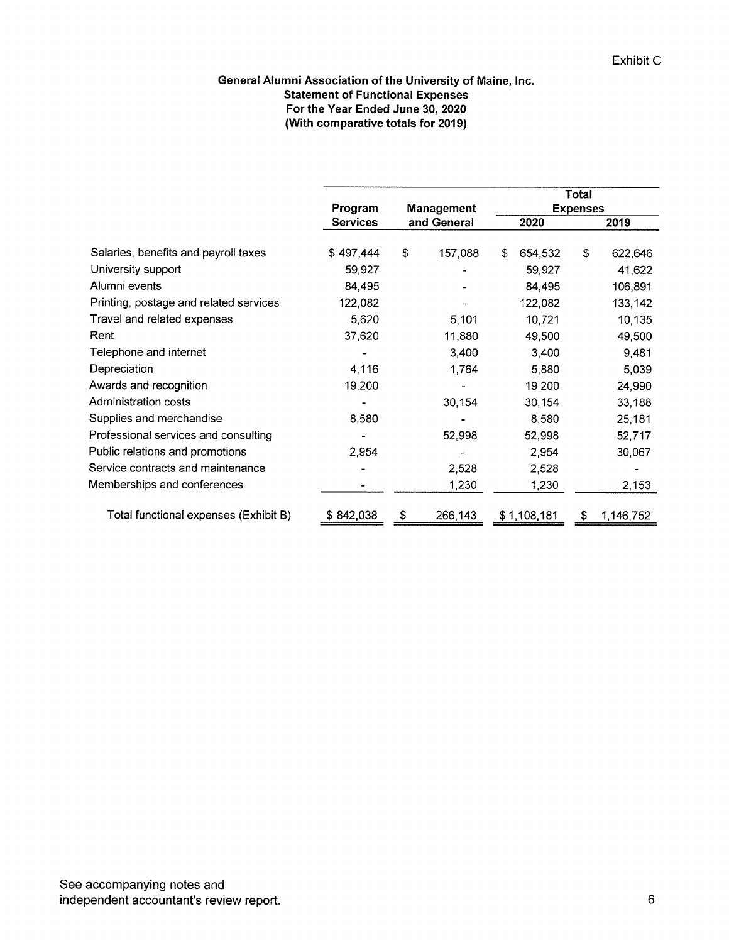# General Alumni Association of the University of Maine, Inc.<br>Statement of Functional Expenses For the Year Ended June 30, 2020 (With comparative totals for 2019)

|                                        | Program         |             | <b>Management</b> |      |             | Total                   |           |
|----------------------------------------|-----------------|-------------|-------------------|------|-------------|-------------------------|-----------|
|                                        | <b>Services</b> | and General |                   | 2020 |             | <b>Expenses</b><br>2019 |           |
| Salaries, benefits and payroll taxes   | \$497,444       | \$          | 157,088           | \$   | 654,532     | £                       | 622,646   |
| University support                     | 59,927          |             |                   |      | 59,927      |                         | 41,622    |
| Alumni events                          | 84,495          |             |                   |      | 84,495      |                         | 106,891   |
| Printing, postage and related services | 122,082         |             |                   |      | 122,082     |                         | 133,142   |
| Travel and related expenses            | 5,620           |             | 5,101             |      | 10,721      |                         | 10,135    |
| Rent                                   | 37,620          |             | 11,880            |      | 49,500      |                         | 49,500    |
| Telephone and internet                 |                 |             | 3,400             |      | 3,400       |                         | 9,481     |
| Depreciation                           | 4,116           |             | 1,764             |      | 5,880       |                         | 5,039     |
| Awards and recognition                 | 19,200          |             |                   |      | 19,200      |                         | 24,990    |
| Administration costs                   |                 |             | 30,154            |      | 30,154      |                         | 33,188    |
| Supplies and merchandise               | 8,580           |             |                   |      | 8.580       |                         | 25,181    |
| Professional services and consulting   |                 |             | 52,998            |      | 52,998      |                         | 52,717    |
| Public relations and promotions        | 2,954           |             |                   |      | 2,954       |                         | 30,067    |
| Service contracts and maintenance      |                 |             | 2,528             |      | 2,528       |                         |           |
| Memberships and conferences            |                 |             | 1,230             |      | 1,230       |                         | 2,153     |
| Total functional expenses (Exhibit B)  | \$842,038       | S           | 266,143           |      | \$1,108,181 | \$                      | 1,146,752 |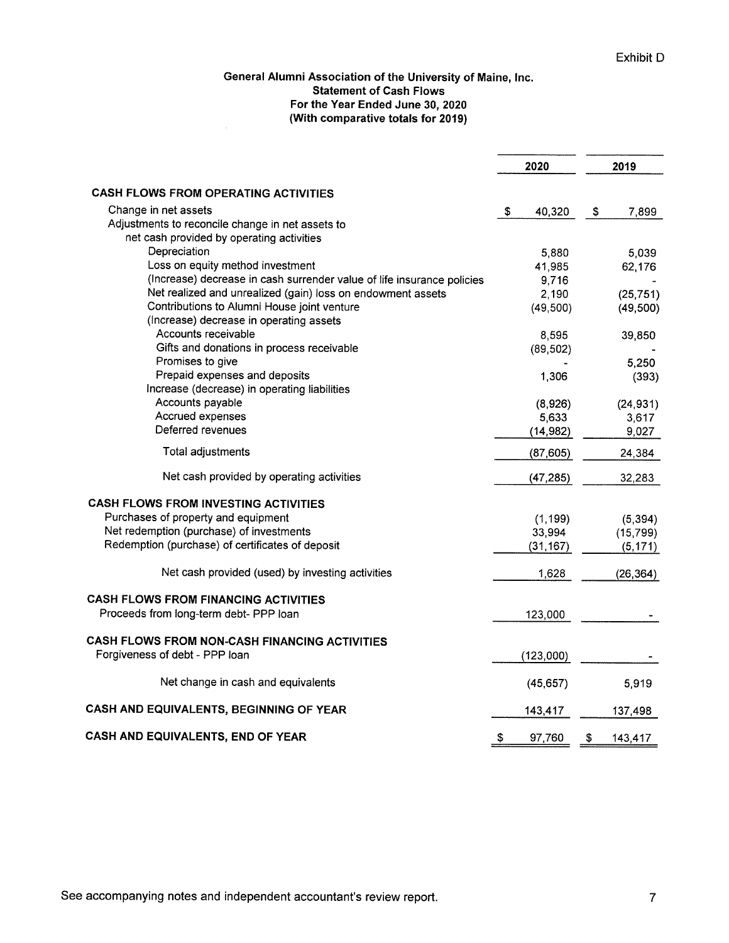\_\_\_

# General Alumni Association of the University of Maine, Inc. **Statement of Cash Flows** For the Year Ended June 30, 2020 (With comparative totals for 2019)

|                                                                                       | 2020         | 2019          |
|---------------------------------------------------------------------------------------|--------------|---------------|
| <b>CASH FLOWS FROM OPERATING ACTIVITIES</b>                                           |              |               |
| Change in net assets                                                                  | \$<br>40,320 | \$<br>7,899   |
| Adjustments to reconcile change in net assets to                                      |              |               |
| net cash provided by operating activities                                             |              |               |
| Depreciation                                                                          | 5,880        | 5,039         |
| Loss on equity method investment                                                      | 41,985       | 62,176        |
| (Increase) decrease in cash surrender value of life insurance policies                | 9,716        |               |
| Net realized and unrealized (gain) loss on endowment assets                           | 2,190        | (25, 751)     |
| Contributions to Alumni House joint venture                                           | (49, 500)    | (49, 500)     |
| (Increase) decrease in operating assets                                               |              |               |
| Accounts receivable                                                                   | 8,595        | 39,850        |
| Gifts and donations in process receivable                                             | (89, 502)    |               |
| Promises to give                                                                      |              | 5,250         |
| Prepaid expenses and deposits                                                         | 1,306        | (393)         |
| Increase (decrease) in operating liabilities                                          |              |               |
| Accounts payable                                                                      | (8,926)      | (24, 931)     |
| Accrued expenses                                                                      | 5,633        | 3,617         |
| Deferred revenues                                                                     | (14, 982)    | 9,027         |
|                                                                                       |              |               |
| <b>Total adjustments</b>                                                              | (87, 605)    | 24,384        |
| Net cash provided by operating activities                                             | (47, 285)    | 32,283        |
| <b>CASH FLOWS FROM INVESTING ACTIVITIES</b>                                           |              |               |
| Purchases of property and equipment                                                   | (1, 199)     | (5, 394)      |
| Net redemption (purchase) of investments                                              | 33,994       | (15, 799)     |
| Redemption (purchase) of certificates of deposit                                      | (31, 167)    | (5, 171)      |
| Net cash provided (used) by investing activities                                      | 1,628        | (26, 364)     |
|                                                                                       |              |               |
| <b>CASH FLOWS FROM FINANCING ACTIVITIES</b><br>Proceeds from long-term debt- PPP loan | 123,000      |               |
| CASH FLOWS FROM NON-CASH FINANCING ACTIVITIES                                         |              |               |
| Forgiveness of debt - PPP loan                                                        | (123,000)    |               |
| Net change in cash and equivalents                                                    | (45, 657)    | 5,919         |
| <b>CASH AND EQUIVALENTS, BEGINNING OF YEAR</b>                                        | 143,417      | 137,498       |
| <b>CASH AND EQUIVALENTS, END OF YEAR</b>                                              | \$<br>97,760 | \$<br>143,417 |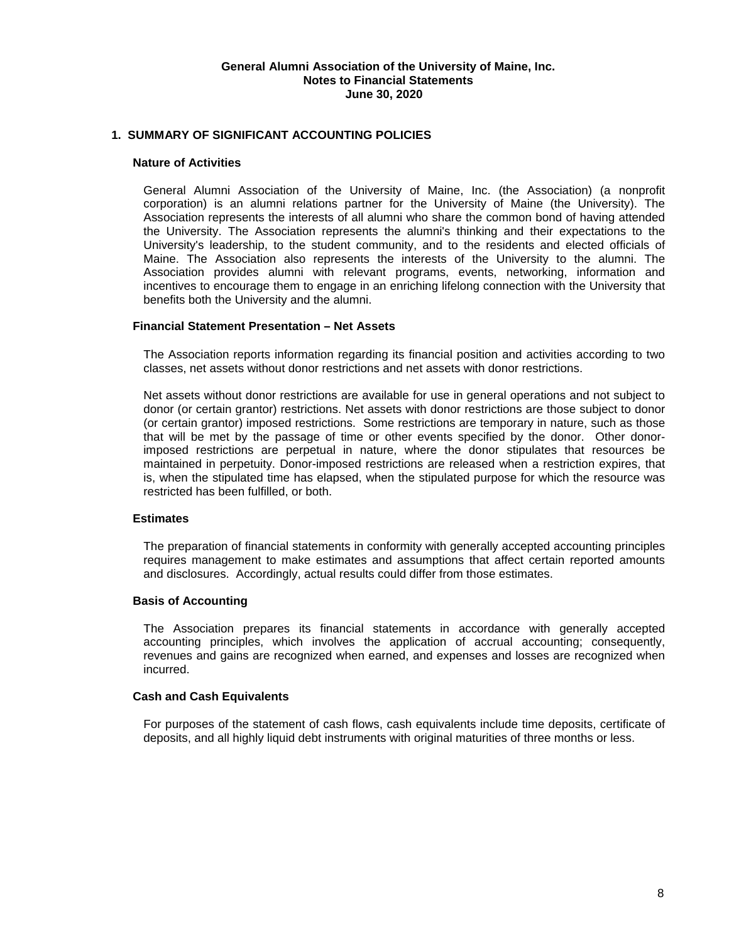#### **General Alumni Association of the University of Maine, Inc. Notes to Financial Statements June 30, 2020**

# **1. SUMMARY OF SIGNIFICANT ACCOUNTING POLICIES**

#### **Nature of Activities**

General Alumni Association of the University of Maine, Inc. (the Association) (a nonprofit corporation) is an alumni relations partner for the University of Maine (the University). The Association represents the interests of all alumni who share the common bond of having attended the University. The Association represents the alumni's thinking and their expectations to the University's leadership, to the student community, and to the residents and elected officials of Maine. The Association also represents the interests of the University to the alumni. The Association provides alumni with relevant programs, events, networking, information and incentives to encourage them to engage in an enriching lifelong connection with the University that benefits both the University and the alumni.

#### **Financial Statement Presentation – Net Assets**

The Association reports information regarding its financial position and activities according to two classes, net assets without donor restrictions and net assets with donor restrictions.

Net assets without donor restrictions are available for use in general operations and not subject to donor (or certain grantor) restrictions. Net assets with donor restrictions are those subject to donor (or certain grantor) imposed restrictions. Some restrictions are temporary in nature, such as those that will be met by the passage of time or other events specified by the donor. Other donorimposed restrictions are perpetual in nature, where the donor stipulates that resources be maintained in perpetuity. Donor-imposed restrictions are released when a restriction expires, that is, when the stipulated time has elapsed, when the stipulated purpose for which the resource was restricted has been fulfilled, or both.

# **Estimates**

The preparation of financial statements in conformity with generally accepted accounting principles requires management to make estimates and assumptions that affect certain reported amounts and disclosures. Accordingly, actual results could differ from those estimates.

# **Basis of Accounting**

The Association prepares its financial statements in accordance with generally accepted accounting principles, which involves the application of accrual accounting; consequently, revenues and gains are recognized when earned, and expenses and losses are recognized when incurred.

# **Cash and Cash Equivalents**

For purposes of the statement of cash flows, cash equivalents include time deposits, certificate of deposits, and all highly liquid debt instruments with original maturities of three months or less.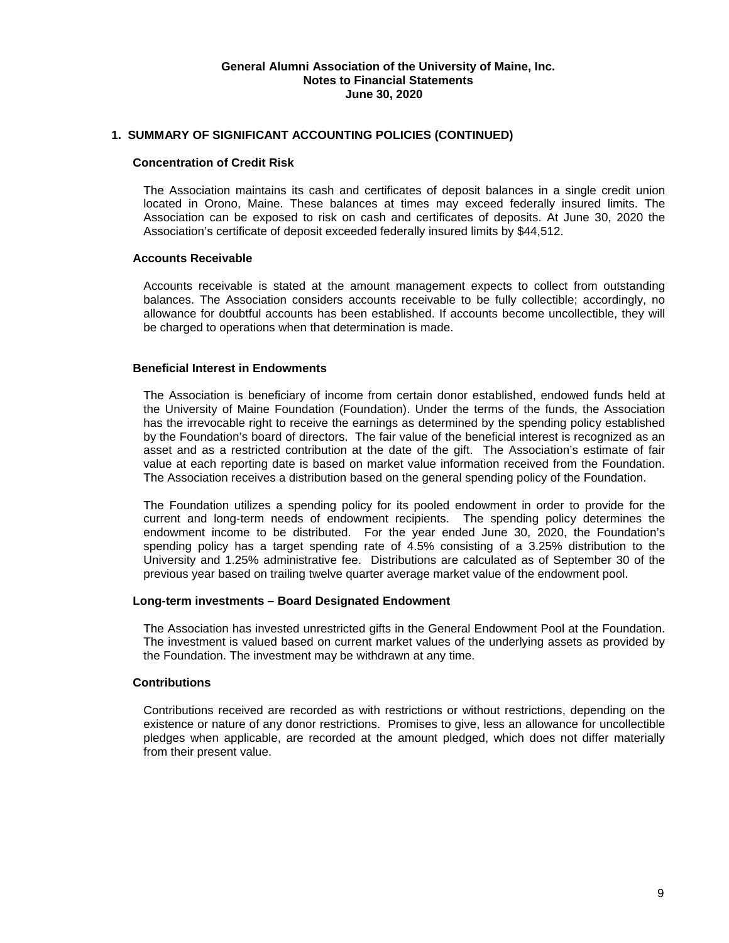# **1. SUMMARY OF SIGNIFICANT ACCOUNTING POLICIES (CONTINUED)**

#### **Concentration of Credit Risk**

The Association maintains its cash and certificates of deposit balances in a single credit union located in Orono, Maine. These balances at times may exceed federally insured limits. The Association can be exposed to risk on cash and certificates of deposits. At June 30, 2020 the Association's certificate of deposit exceeded federally insured limits by \$44,512.

# **Accounts Receivable**

Accounts receivable is stated at the amount management expects to collect from outstanding balances. The Association considers accounts receivable to be fully collectible; accordingly, no allowance for doubtful accounts has been established. If accounts become uncollectible, they will be charged to operations when that determination is made.

#### **Beneficial Interest in Endowments**

The Association is beneficiary of income from certain donor established, endowed funds held at the University of Maine Foundation (Foundation). Under the terms of the funds, the Association has the irrevocable right to receive the earnings as determined by the spending policy established by the Foundation's board of directors. The fair value of the beneficial interest is recognized as an asset and as a restricted contribution at the date of the gift. The Association's estimate of fair value at each reporting date is based on market value information received from the Foundation. The Association receives a distribution based on the general spending policy of the Foundation.

The Foundation utilizes a spending policy for its pooled endowment in order to provide for the current and long-term needs of endowment recipients. The spending policy determines the endowment income to be distributed. For the year ended June 30, 2020, the Foundation's spending policy has a target spending rate of 4.5% consisting of a 3.25% distribution to the University and 1.25% administrative fee. Distributions are calculated as of September 30 of the previous year based on trailing twelve quarter average market value of the endowment pool.

#### **Long-term investments – Board Designated Endowment**

The Association has invested unrestricted gifts in the General Endowment Pool at the Foundation. The investment is valued based on current market values of the underlying assets as provided by the Foundation. The investment may be withdrawn at any time.

#### **Contributions**

Contributions received are recorded as with restrictions or without restrictions, depending on the existence or nature of any donor restrictions. Promises to give, less an allowance for uncollectible pledges when applicable, are recorded at the amount pledged, which does not differ materially from their present value.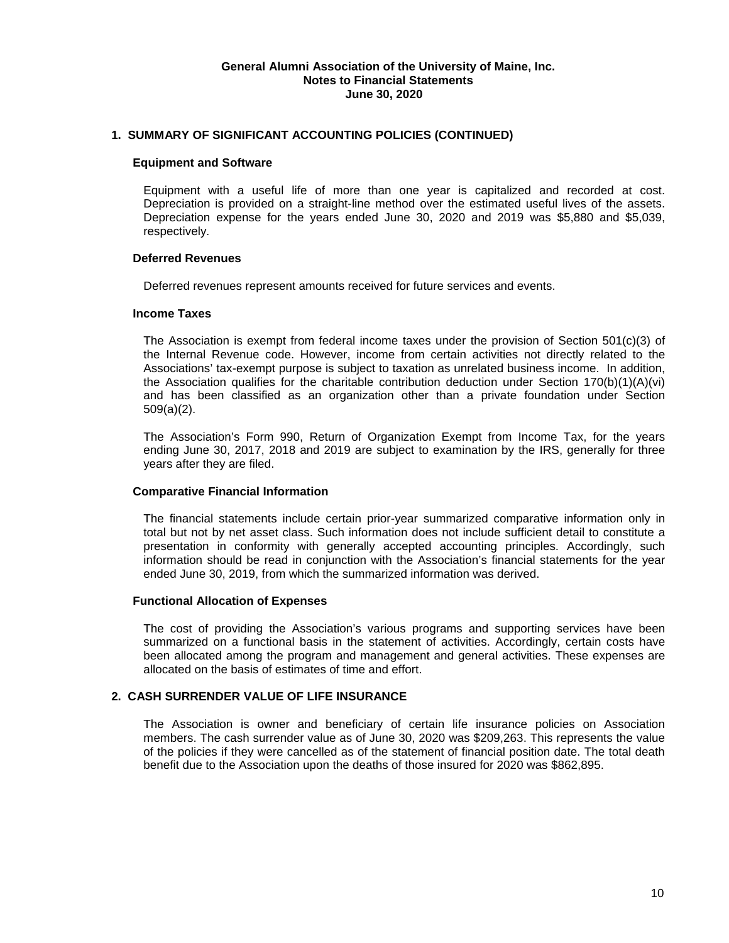# **1. SUMMARY OF SIGNIFICANT ACCOUNTING POLICIES (CONTINUED)**

#### **Equipment and Software**

Equipment with a useful life of more than one year is capitalized and recorded at cost. Depreciation is provided on a straight-line method over the estimated useful lives of the assets. Depreciation expense for the years ended June 30, 2020 and 2019 was \$5,880 and \$5,039, respectively.

# **Deferred Revenues**

Deferred revenues represent amounts received for future services and events.

# **Income Taxes**

The Association is exempt from federal income taxes under the provision of Section 501(c)(3) of the Internal Revenue code. However, income from certain activities not directly related to the Associations' tax-exempt purpose is subject to taxation as unrelated business income. In addition, the Association qualifies for the charitable contribution deduction under Section 170(b)(1)(A)(vi) and has been classified as an organization other than a private foundation under Section 509(a)(2).

The Association's Form 990, Return of Organization Exempt from Income Tax, for the years ending June 30, 2017, 2018 and 2019 are subject to examination by the IRS, generally for three years after they are filed.

# **Comparative Financial Information**

The financial statements include certain prior-year summarized comparative information only in total but not by net asset class. Such information does not include sufficient detail to constitute a presentation in conformity with generally accepted accounting principles. Accordingly, such information should be read in conjunction with the Association's financial statements for the year ended June 30, 2019, from which the summarized information was derived.

#### **Functional Allocation of Expenses**

The cost of providing the Association's various programs and supporting services have been summarized on a functional basis in the statement of activities. Accordingly, certain costs have been allocated among the program and management and general activities. These expenses are allocated on the basis of estimates of time and effort.

# **2. CASH SURRENDER VALUE OF LIFE INSURANCE**

The Association is owner and beneficiary of certain life insurance policies on Association members. The cash surrender value as of June 30, 2020 was \$209,263. This represents the value of the policies if they were cancelled as of the statement of financial position date. The total death benefit due to the Association upon the deaths of those insured for 2020 was \$862,895.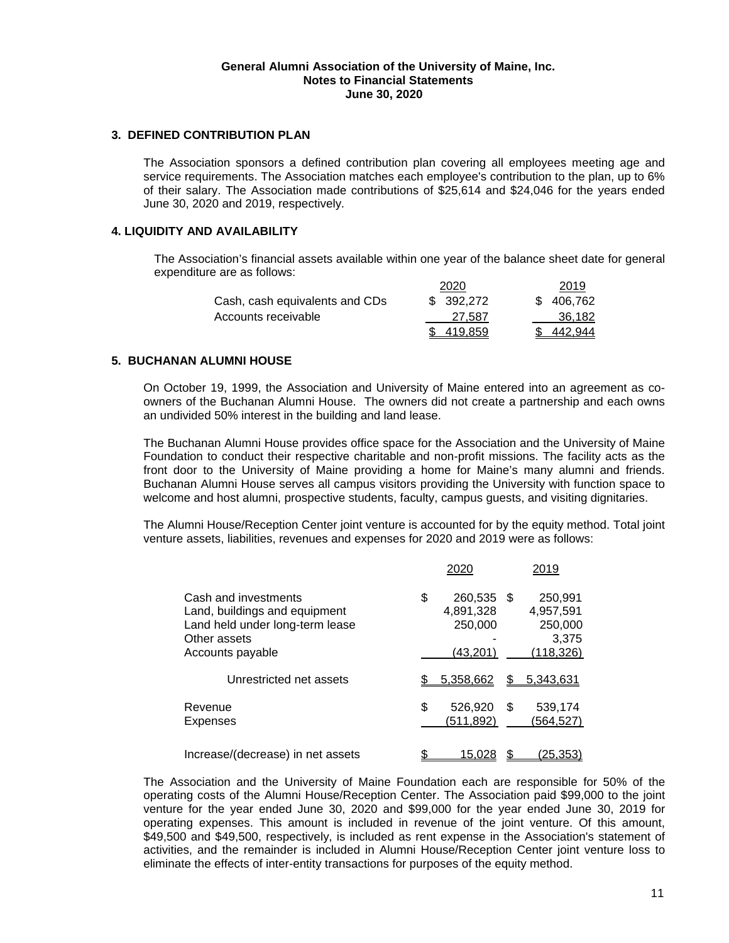#### **General Alumni Association of the University of Maine, Inc. Notes to Financial Statements June 30, 2020**

# **3. DEFINED CONTRIBUTION PLAN**

The Association sponsors a defined contribution plan covering all employees meeting age and service requirements. The Association matches each employee's contribution to the plan, up to 6% of their salary. The Association made contributions of \$25,614 and \$24,046 for the years ended June 30, 2020 and 2019, respectively.

# **4. LIQUIDITY AND AVAILABILITY**

The Association's financial assets available within one year of the balance sheet date for general expenditure are as follows:

|                                | 2020       | 2019      |
|--------------------------------|------------|-----------|
| Cash, cash equivalents and CDs | \$ 392,272 | \$406,762 |
| Accounts receivable            | 27.587     | 36.182    |
|                                | 419.859    | 442.944   |

# **5. BUCHANAN ALUMNI HOUSE**

On October 19, 1999, the Association and University of Maine entered into an agreement as coowners of the Buchanan Alumni House. The owners did not create a partnership and each owns an undivided 50% interest in the building and land lease.

The Buchanan Alumni House provides office space for the Association and the University of Maine Foundation to conduct their respective charitable and non-profit missions. The facility acts as the front door to the University of Maine providing a home for Maine's many alumni and friends. Buchanan Alumni House serves all campus visitors providing the University with function space to welcome and host alumni, prospective students, faculty, campus guests, and visiting dignitaries.

The Alumni House/Reception Center joint venture is accounted for by the equity method. Total joint venture assets, liabilities, revenues and expenses for 2020 and 2019 were as follows:

|                                                                                                                              | 2020                                              | 2019                                                          |
|------------------------------------------------------------------------------------------------------------------------------|---------------------------------------------------|---------------------------------------------------------------|
| Cash and investments<br>Land, buildings and equipment<br>Land held under long-term lease<br>Other assets<br>Accounts payable | \$<br>260.535<br>4,891,328<br>250,000<br>(43,201) | 250,991<br>\$.<br>4,957,591<br>250,000<br>3,375<br>(118, 326) |
| Unrestricted net assets                                                                                                      | 5,358,662                                         | 5,343,631<br>\$                                               |
| Revenue<br>Expenses                                                                                                          | \$<br>526,920<br>(511,892)                        | 539,174<br>S<br>564,527)                                      |
| Increase/(decrease) in net assets                                                                                            | 15.028                                            | (25,353)                                                      |

The Association and the University of Maine Foundation each are responsible for 50% of the operating costs of the Alumni House/Reception Center. The Association paid \$99,000 to the joint venture for the year ended June 30, 2020 and \$99,000 for the year ended June 30, 2019 for operating expenses. This amount is included in revenue of the joint venture. Of this amount, \$49,500 and \$49,500, respectively, is included as rent expense in the Association's statement of activities, and the remainder is included in Alumni House/Reception Center joint venture loss to eliminate the effects of inter-entity transactions for purposes of the equity method.